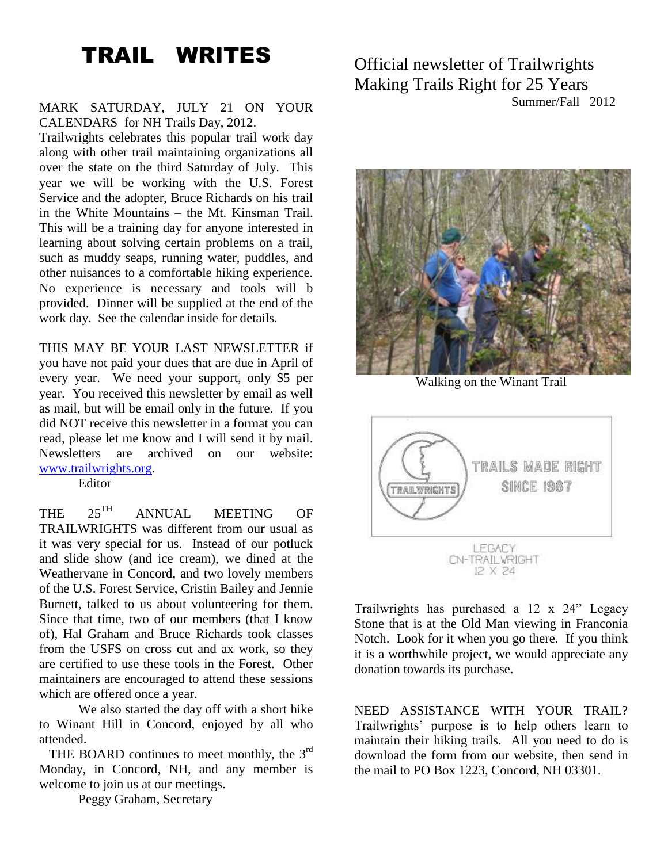# TRAIL WRITES

#### MARK SATURDAY, JULY 21 ON YOUR CALENDARS for NH Trails Day, 2012.

Trailwrights celebrates this popular trail work day along with other trail maintaining organizations all over the state on the third Saturday of July. This year we will be working with the U.S. Forest Service and the adopter, Bruce Richards on his trail in the White Mountains – the Mt. Kinsman Trail. This will be a training day for anyone interested in learning about solving certain problems on a trail, such as muddy seaps, running water, puddles, and other nuisances to a comfortable hiking experience. No experience is necessary and tools will b provided. Dinner will be supplied at the end of the work day. See the calendar inside for details.

THIS MAY BE YOUR LAST NEWSLETTER if you have not paid your dues that are due in April of every year. We need your support, only \$5 per year. You received this newsletter by email as well as mail, but will be email only in the future. If you did NOT receive this newsletter in a format you can read, please let me know and I will send it by mail. Newsletters are archived on our website: [www.trailwrights.org.](http://www.trailwrights.org/)

Editor

THE 25<sup>TH</sup> ANNUAL MEETING OF TRAILWRIGHTS was different from our usual as it was very special for us. Instead of our potluck and slide show (and ice cream), we dined at the Weathervane in Concord, and two lovely members of the U.S. Forest Service, Cristin Bailey and Jennie Burnett, talked to us about volunteering for them. Since that time, two of our members (that I know of), Hal Graham and Bruce Richards took classes from the USFS on cross cut and ax work, so they are certified to use these tools in the Forest. Other maintainers are encouraged to attend these sessions which are offered once a year.

We also started the day off with a short hike to Winant Hill in Concord, enjoyed by all who attended.

THE BOARD continues to meet monthly, the 3<sup>rd</sup> Monday, in Concord, NH, and any member is welcome to join us at our meetings.

Peggy Graham, Secretary

Official newsletter of Trailwrights Making Trails Right for 25 Years Summer/Fall 2012



Walking on the Winant Trail



Trailwrights has purchased a 12 x 24" Legacy Stone that is at the Old Man viewing in Franconia Notch. Look for it when you go there. If you think it is a worthwhile project, we would appreciate any donation towards its purchase.

NEED ASSISTANCE WITH YOUR TRAIL? Trailwrights' purpose is to help others learn to maintain their hiking trails. All you need to do is download the form from our website, then send in the mail to PO Box 1223, Concord, NH 03301.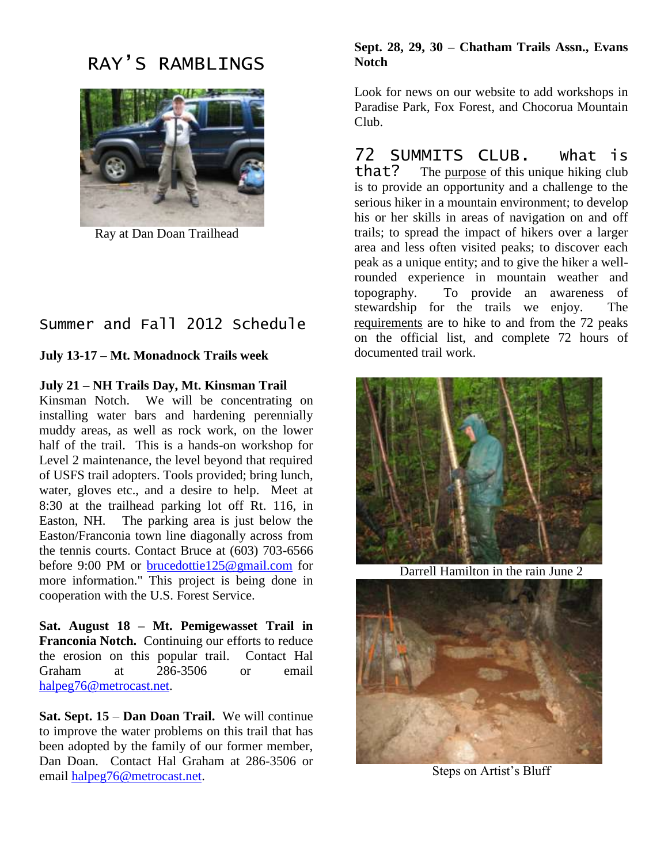## RAY'S RAMBLINGS



Ray at Dan Doan Trailhead

### Summer and Fall 2012 Schedule

**July 13-17 – Mt. Monadnock Trails week** 

**July 21 – NH Trails Day, Mt. Kinsman Trail**

Kinsman Notch. We will be concentrating on installing water bars and hardening perennially muddy areas, as well as rock work, on the lower half of the trail. This is a hands-on workshop for Level 2 maintenance, the level beyond that required of USFS trail adopters. Tools provided; bring lunch, water, gloves etc., and a desire to help. Meet at 8:30 at the trailhead parking lot off Rt. 116, in Easton, NH. The parking area is just below the Easton/Franconia town line diagonally across from the tennis courts. Contact Bruce at (603) 703-6566 before 9:00 PM or [brucedottie125@gmail.com](mailto:brucedottie125@gmail.com) for more information." This project is being done in cooperation with the U.S. Forest Service.

**Sat. August 18 – Mt. Pemigewasset Trail in Franconia Notch.** Continuing our efforts to reduce the erosion on this popular trail. Contact Hal Graham at 286-3506 or email [halpeg76@metrocast.net.](mailto:halpeg76@metrocast.net)

**Sat. Sept. 15** – **Dan Doan Trail.** We will continue to improve the water problems on this trail that has been adopted by the family of our former member, Dan Doan. Contact Hal Graham at 286-3506 or email [halpeg76@metrocast.net.](mailto:halpeg76@metrocast.net)

#### **Sept. 28, 29, 30 – Chatham Trails Assn., Evans Notch**

Look for news on our website to add workshops in Paradise Park, Fox Forest, and Chocorua Mountain Club.

72 SUMMITS CLUB. What is that? The purpose of this unique hiking club is to provide an opportunity and a challenge to the serious hiker in a mountain environment; to develop his or her skills in areas of navigation on and off trails; to spread the impact of hikers over a larger area and less often visited peaks; to discover each peak as a unique entity; and to give the hiker a wellrounded experience in mountain weather and topography. To provide an awareness of stewardship for the trails we enjoy. The requirements are to hike to and from the 72 peaks on the official list, and complete 72 hours of documented trail work.



Darrell Hamilton in the rain June 2



Steps on Artist's Bluff